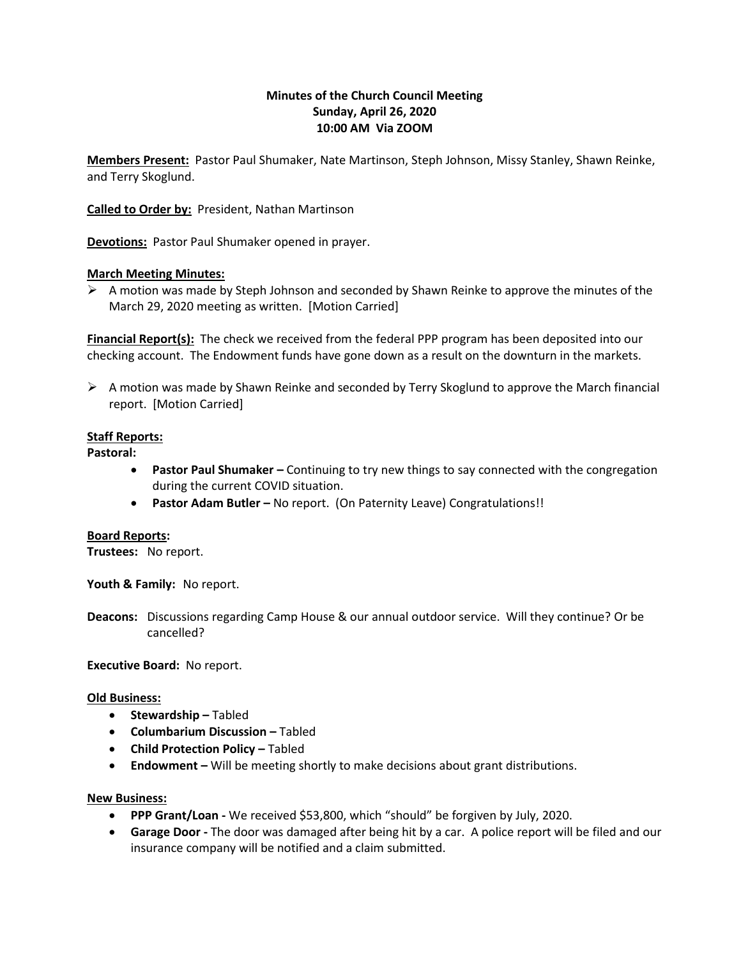# **Minutes of the Church Council Meeting Sunday, April 26, 2020 10:00 AM Via ZOOM**

**Members Present:** Pastor Paul Shumaker, Nate Martinson, Steph Johnson, Missy Stanley, Shawn Reinke, and Terry Skoglund.

**Called to Order by:** President, Nathan Martinson

**Devotions:** Pastor Paul Shumaker opened in prayer.

## **March Meeting Minutes:**

 $\triangleright$  A motion was made by Steph Johnson and seconded by Shawn Reinke to approve the minutes of the March 29, 2020 meeting as written. [Motion Carried]

**Financial Report(s):** The check we received from the federal PPP program has been deposited into our checking account. The Endowment funds have gone down as a result on the downturn in the markets.

 $\triangleright$  A motion was made by Shawn Reinke and seconded by Terry Skoglund to approve the March financial report. [Motion Carried]

## **Staff Reports:**

**Pastoral:**

- **Pastor Paul Shumaker –** Continuing to try new things to say connected with the congregation during the current COVID situation.
- **Pastor Adam Butler –** No report. (On Paternity Leave) Congratulations!!

#### **Board Reports:**

**Trustees:** No report.

**Youth & Family:** No report.

**Deacons:** Discussions regarding Camp House & our annual outdoor service. Will they continue? Or be cancelled?

**Executive Board:** No report.

#### **Old Business:**

- **Stewardship –** Tabled
- **Columbarium Discussion –** Tabled
- **Child Protection Policy Tabled**
- **Endowment –** Will be meeting shortly to make decisions about grant distributions.

#### **New Business:**

- **PPP Grant/Loan -** We received \$53,800, which "should" be forgiven by July, 2020.
- **Garage Door -** The door was damaged after being hit by a car. A police report will be filed and our insurance company will be notified and a claim submitted.